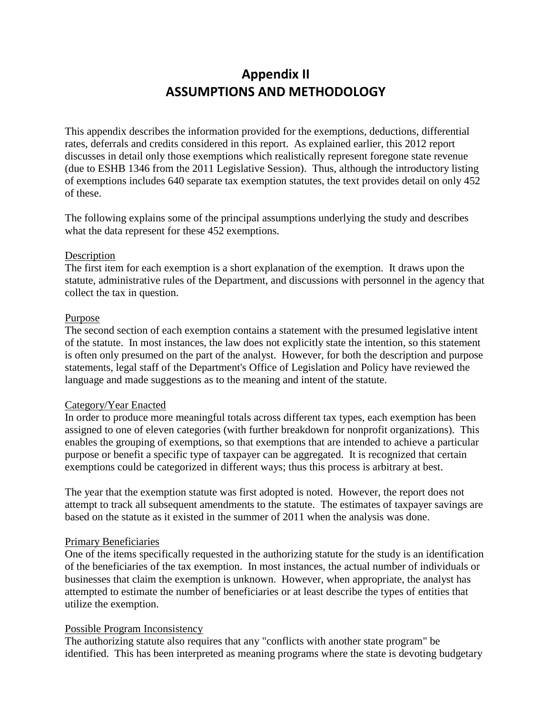# **Appendix II ASSUMPTIONS AND METHODOLOGY**

This appendix describes the information provided for the exemptions, deductions, differential rates, deferrals and credits considered in this report. As explained earlier, this 2012 report discusses in detail only those exemptions which realistically represent foregone state revenue (due to ESHB 1346 from the 2011 Legislative Session). Thus, although the introductory listing of exemptions includes 640 separate tax exemption statutes, the text provides detail on only 452 of these.

The following explains some of the principal assumptions underlying the study and describes what the data represent for these 452 exemptions.

#### Description

The first item for each exemption is a short explanation of the exemption. It draws upon the statute, administrative rules of the Department, and discussions with personnel in the agency that collect the tax in question.

#### Purpose

The second section of each exemption contains a statement with the presumed legislative intent of the statute. In most instances, the law does not explicitly state the intention, so this statement is often only presumed on the part of the analyst. However, for both the description and purpose statements, legal staff of the Department's Office of Legislation and Policy have reviewed the language and made suggestions as to the meaning and intent of the statute.

## Category/Year Enacted

In order to produce more meaningful totals across different tax types, each exemption has been assigned to one of eleven categories (with further breakdown for nonprofit organizations). This enables the grouping of exemptions, so that exemptions that are intended to achieve a particular purpose or benefit a specific type of taxpayer can be aggregated. It is recognized that certain exemptions could be categorized in different ways; thus this process is arbitrary at best.

The year that the exemption statute was first adopted is noted. However, the report does not attempt to track all subsequent amendments to the statute. The estimates of taxpayer savings are based on the statute as it existed in the summer of 2011 when the analysis was done.

## Primary Beneficiaries

One of the items specifically requested in the authorizing statute for the study is an identification of the beneficiaries of the tax exemption. In most instances, the actual number of individuals or businesses that claim the exemption is unknown. However, when appropriate, the analyst has attempted to estimate the number of beneficiaries or at least describe the types of entities that utilize the exemption.

## Possible Program Inconsistency

The authorizing statute also requires that any "conflicts with another state program" be identified. This has been interpreted as meaning programs where the state is devoting budgetary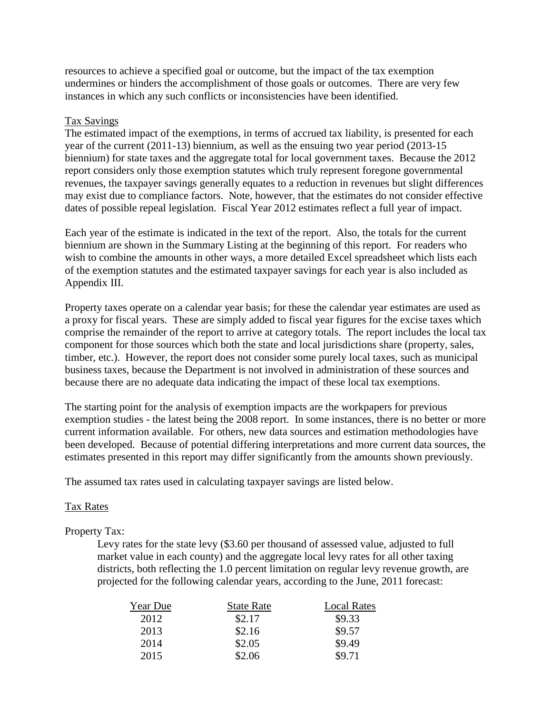resources to achieve a specified goal or outcome, but the impact of the tax exemption undermines or hinders the accomplishment of those goals or outcomes. There are very few instances in which any such conflicts or inconsistencies have been identified.

#### Tax Savings

The estimated impact of the exemptions, in terms of accrued tax liability, is presented for each year of the current (2011-13) biennium, as well as the ensuing two year period (2013-15 biennium) for state taxes and the aggregate total for local government taxes. Because the 2012 report considers only those exemption statutes which truly represent foregone governmental revenues, the taxpayer savings generally equates to a reduction in revenues but slight differences may exist due to compliance factors. Note, however, that the estimates do not consider effective dates of possible repeal legislation. Fiscal Year 2012 estimates reflect a full year of impact.

Each year of the estimate is indicated in the text of the report. Also, the totals for the current biennium are shown in the Summary Listing at the beginning of this report. For readers who wish to combine the amounts in other ways, a more detailed Excel spreadsheet which lists each of the exemption statutes and the estimated taxpayer savings for each year is also included as Appendix III.

Property taxes operate on a calendar year basis; for these the calendar year estimates are used as a proxy for fiscal years. These are simply added to fiscal year figures for the excise taxes which comprise the remainder of the report to arrive at category totals. The report includes the local tax component for those sources which both the state and local jurisdictions share (property, sales, timber, etc.). However, the report does not consider some purely local taxes, such as municipal business taxes, because the Department is not involved in administration of these sources and because there are no adequate data indicating the impact of these local tax exemptions.

The starting point for the analysis of exemption impacts are the workpapers for previous exemption studies - the latest being the 2008 report. In some instances, there is no better or more current information available. For others, new data sources and estimation methodologies have been developed. Because of potential differing interpretations and more current data sources, the estimates presented in this report may differ significantly from the amounts shown previously.

The assumed tax rates used in calculating taxpayer savings are listed below.

## Tax Rates

## Property Tax:

Levy rates for the state levy (\$3.60 per thousand of assessed value, adjusted to full market value in each county) and the aggregate local levy rates for all other taxing districts, both reflecting the 1.0 percent limitation on regular levy revenue growth, are projected for the following calendar years, according to the June, 2011 forecast:

| Year Due | <b>State Rate</b> | <b>Local Rates</b> |
|----------|-------------------|--------------------|
| 2012     | \$2.17            | \$9.33             |
| 2013     | \$2.16            | \$9.57             |
| 2014     | \$2.05            | \$9.49             |
| 2015     | \$2.06            | \$9.71             |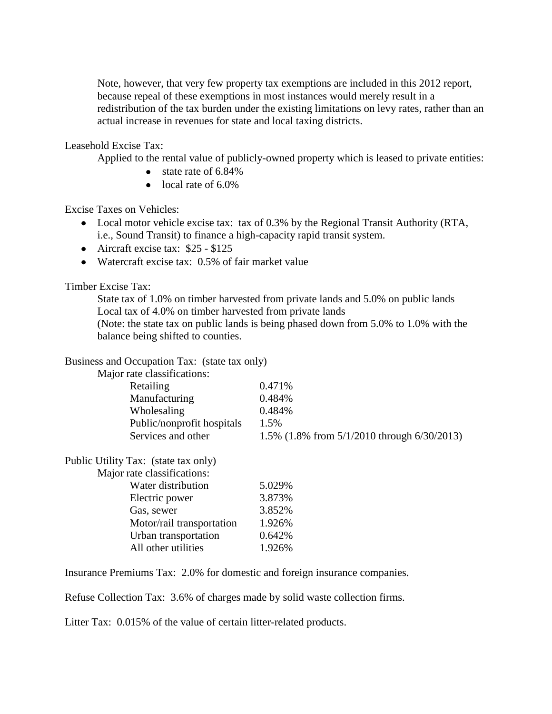Note, however, that very few property tax exemptions are included in this 2012 report, because repeal of these exemptions in most instances would merely result in a redistribution of the tax burden under the existing limitations on levy rates, rather than an actual increase in revenues for state and local taxing districts.

Leasehold Excise Tax:

Applied to the rental value of publicly-owned property which is leased to private entities:

- $\bullet$  state rate of 6.84%
- $\bullet$  local rate of 6.0%

Excise Taxes on Vehicles:

- Local motor vehicle excise tax: tax of 0.3% by the Regional Transit Authority (RTA, i.e., Sound Transit) to finance a high-capacity rapid transit system.
- Aircraft excise tax:  $$25 $125$
- Watercraft excise tax: 0.5% of fair market value

Timber Excise Tax:

State tax of 1.0% on timber harvested from private lands and 5.0% on public lands Local tax of 4.0% on timber harvested from private lands

(Note: the state tax on public lands is being phased down from 5.0% to 1.0% with the balance being shifted to counties.

Business and Occupation Tax: (state tax only)

Major rate classifications:

| <b>Retailing</b>           | $0.471\%$                                      |
|----------------------------|------------------------------------------------|
| Manufacturing              | 0.484%                                         |
| Wholesaling                | 0.484%                                         |
| Public/nonprofit hospitals | 1.5%                                           |
| Services and other         | 1.5% $(1.8\%$ from 5/1/2010 through 6/30/2013) |
|                            |                                                |

| Major rate classifications: |        |
|-----------------------------|--------|
| Water distribution          | 5.029% |
| Electric power              | 3.873% |
| Gas, sewer                  | 3.852% |
| Motor/rail transportation   | 1.926% |
| Urban transportation        | 0.642% |
| All other utilities         | 1.926% |
|                             |        |

Insurance Premiums Tax: 2.0% for domestic and foreign insurance companies.

Refuse Collection Tax: 3.6% of charges made by solid waste collection firms.

Litter Tax: 0.015% of the value of certain litter-related products.